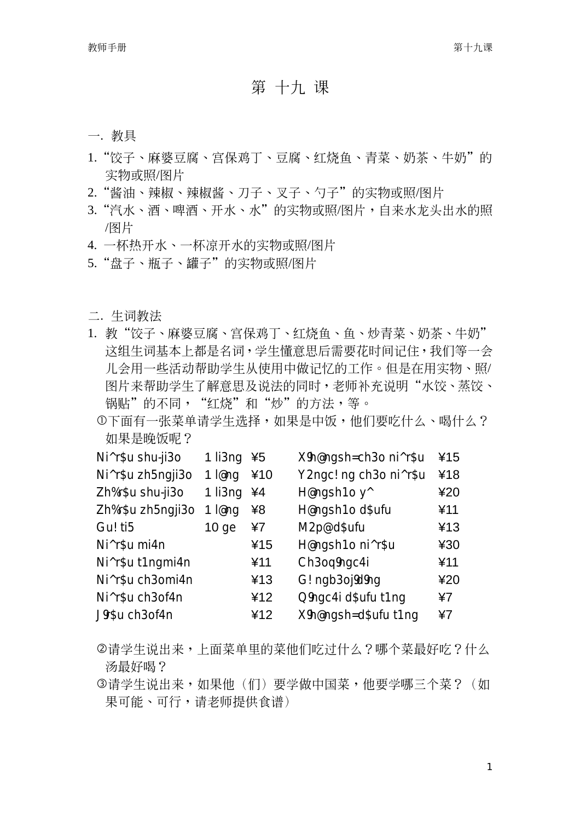## 第十九课

## 一. 教具

- 1."饺子、麻婆豆腐、宫保鸡丁、豆腐、红烧鱼、青菜、奶茶、牛奶"的 实物或照/图片
- 2. "酱油、辣椒、辣椒酱、刀子、叉子、勺子"的实物或照/图片
- 3. "汽水、酒、啤酒、开水、水"的实物或照/图片,自来水龙头出水的照 /图片
- 4. 一杯热开水、一杯凉开水的实物或照/图片
- 5. "盘子、瓶子、罐子"的实物或照/图片

## 二. 生词教法

- 1. 教"饺子、麻婆豆腐、宫保鸡丁、红烧鱼、鱼、炒青菜、奶茶、牛奶" 这组生词基本上都是名词, 学生懂意思后需要花时间记住, 我们等一会 儿会用一些活动帮助学生从使用中做记忆的工作。但是在用实物、照/ 图片来帮助学生了解意思及说法的同时,老师补充说明"水饺、蒸饺、 锅贴"的不同, "红烧"和"炒"的方法, 等。
	- ①下面有一张菜单请学生洗择,如果是中饭,他们要吃什么、喝什么? 如果是晚饭呢?

| Ni^r\$u shu-ji3o  | $1$ li $3$ ng | ¥5  | X9h@ngsh=ch3o ni^r\$u  | ¥15  |
|-------------------|---------------|-----|------------------------|------|
| Ni^r\$u zh5nqji3o | 1 $lenq$      | ¥10 | Y2ngc! ng ch3o ni^r\$u | ¥18  |
| Zh%r\$u shu-ji3o  | 1 li3ng       | ¥4  | H@ngsh1o y^            | ¥20  |
| Zh%r\$u zh5ngji3o | 1 $lenq$      | ¥8  | H@ngsh1o d\$ufu        | ¥11  |
| Gu! ti5           | $10 q$ e      | ¥7  | M2p@d\$ufu             | ¥13  |
| Ni^r\$u mi4n      |               | ¥15 | H@nqsh1o ni^r\$u       | ¥30  |
| Ni^r\$u t1ngmi4n  |               | ¥11 | Ch3oq9ngc4i            | ¥11  |
| Ni^r\$u ch3omi4n  |               | ¥13 | G! ngb3oj9d9ng         | 420  |
| Ni^r\$u ch3of4n   |               | ¥12 | Q9ngc4i d\$ufu t1ng    | 47   |
| J9r\$u ch3of4n    |               | ¥12 | X9h@ngsh=d\$ufu t1ng   | $*7$ |

- ②请学生说出来,上面菜单里的菜他们吃过什么?哪个菜最好吃?什么 汤最好喝?
- ③请学生说出来,如果他(们)要学做中国菜,他要学哪三个菜?(如 果可能、可行,请老师提供食谱)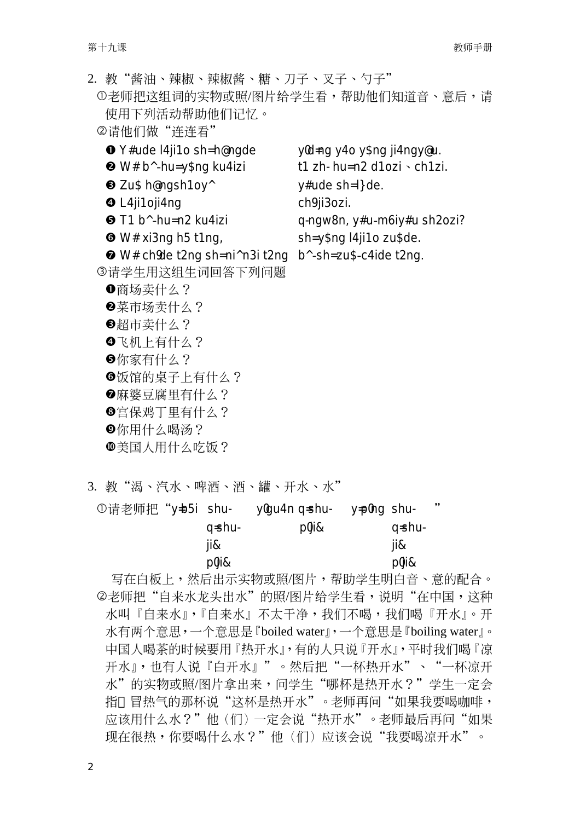2. 教"酱油、辣椒、辣椒酱、糖、刀子、叉子、勺子" ①老师把这组词的实物或照/图片给学生看,帮助他们知道音、意后,请 使用下列活动帮助他们记忆。 ②请他们做"连连看" **O** Y#ude I4ji1o sh=h@ngde yld=ng y4o y\$ng ji4ngy@u. <sup>●</sup> W# b^-hu= y\$ng ku4izi t1 zh- $hu=n2$  d1ozi  $\cdot$  ch1zi. **8** Zu\$ h@ngsh1oy^  $y\#$ ude sh= $\exists$ de. **O** L4ji1oji4ng ch<sup>9</sup> ji3ozi.  $\bullet$  T1 b<sup> $\land$ </sup>-hu= n2 ku4izi q-ngw8n, y#u-m6iy#u sh2ozi?  $\bullet$  W# xi3ng h5 t1ng, sh=y\$ng l4ji1o zu\$de. **Ø** W# childe t2ng sh=ni^n3i t2ng b^-sh=zu\$-c4ide t2ng. 3请学生用这组生词回答下列问题 ❶商场卖什么? 2菜市场卖什么? 6超市卖什么? ❹飞机上有什么? 6你家有什么? 6饭馆的桌子上有什么? 2麻婆豆腐里有什么? **B**宫保鸡丁里有什么? **©你用什么喝汤?** 重国人用什么吃饭?

3. 教"渴、汽水、啤酒、酒、罐、开水、水"

| ①请老师把"y=b5i shu- |            | ylgu4n q=shu- | y=plng shu- |              | ,, |
|------------------|------------|---------------|-------------|--------------|----|
|                  | q=shu-     | p0ji&         |             | q=shu-       |    |
|                  | ii&        |               |             | ji&          |    |
|                  | $D0$ i $8$ |               |             | $D0$ ji $\&$ |    |

写在白板上,然后出示实物或照/图片,帮助学生明白音、意的配合。 2老师把"自来水龙头出水"的照/图片给学生看,说明"在中国,这种 水叫『自来水』,『自来水』不太干净,我们不喝,我们喝『开水』。开 水有两个意思,一个意思是『boiled water』,一个意思是『boiling water』。 中国人喝茶的时候要用『热开水』,有的人只说『开水』,平时我们喝『凉 开水』,也有人说『白开水』"。然后把"一杯热开水"、"一杯凉开 水"的实物或照/图片拿出来,问学生"哪杯是热开水?"学生一定会 指 冒热气的那杯说"这杯是热开水"。老师再问"如果我要喝咖啡, 应该用什么水?"他(们)一定会说"热开水"。老师最后再问"如果 现在很热,你要喝什么水?"他(们)应该会说"我要喝凉开水"。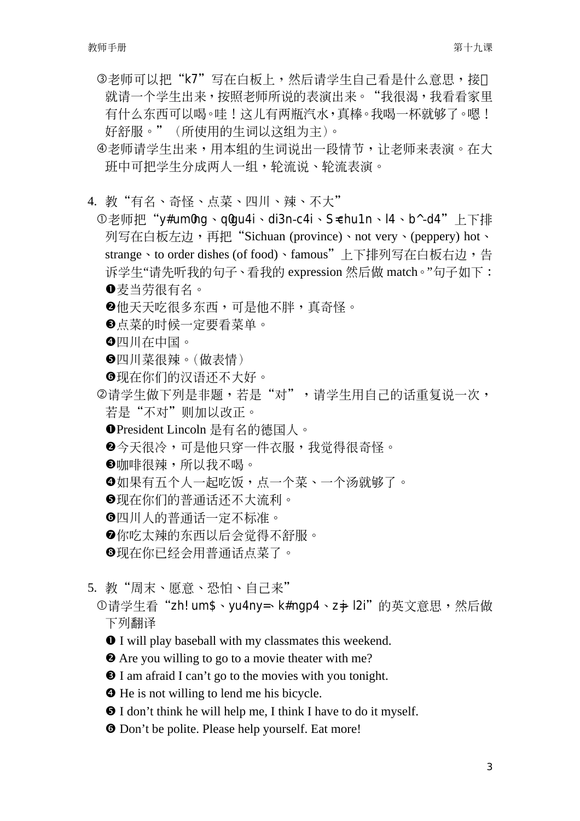- 3老师可以把"k7"写在白板上,然后请学生自己看是什么意思,接 就请一个学生出来, 按照老师所说的表演出来。"我很渴, 我看看家里 有什么东西可以喝。哇!这儿有两瓶汽水,直棒。我喝一杯就够了。嗯! 好舒服。"(所使用的生词以这组为主)。
- 4老师请学生出来,用本组的生词说出一段情节,让老师来表演。在大 研中可把学生分成两人一组,轮流说、轮流表演。
- 4. 教"有名、奇怪、点菜、四川、辣、不大"
	- ①老师把"v#um0ng、q0qu4i、di3n-c4i、S=chu1n、l4、b^-d4"上下排 列写在白板左边,再把"Sichuan (province)、not very、(peppery) hot、 strange、to order dishes (of food)、famous"上下排列写在白板右边,告 诉学生"请先听我的句子、看我的 expression 然后做 match。"句子如下: ❶寿当劳很有名。
		- **2**他天天吃很多东西,可是他不胖,真奇怪。
		- 6点菜的时候一定要看菜单。
		- ❹四川在中国。
		- 6四川菜很辣。(做表情)
		- 6现在你们的汉语还不大好。
	- 2请学生做下列是非题,若是"对",请学生用自己的话重复说一次, 若是"不对"则加以改正。
		- OPresident Lincoln 是有名的德国人。
		- 2今天很冷,可是他只穿一件衣服,我觉得很奇怪。
		- **B**咖啡很辣,所以我不喝。
		- **❹**如果有五个人一起吃饭,点一个菜、一个汤就够了。
		- ●现在你们的普通话还不大流利。
		- 6四川人的普通话一定不标准。
		- ●你吃太辣的东西以后会觉得不舒服。
		- ❸现在你已经会用普通话点菜了。
- 5. 教"周末、愿意、恐怕、自己来"
	- ①请学生看"zh! um\$、yu4ny=、k#nqp4、z=i- l2i"的英文意思,然后做 下列翻译
		- **O** I will play baseball with my classmates this weekend.
		- **2** Are you willing to go to a movie theater with me?
		- **O** I am afraid I can't go to the movies with you tonight.
		- **O** He is not willing to lend me his bicycle.
		- **O** I don't think he will help me, I think I have to do it myself.
		- **O** Don't be polite. Please help yourself. Eat more!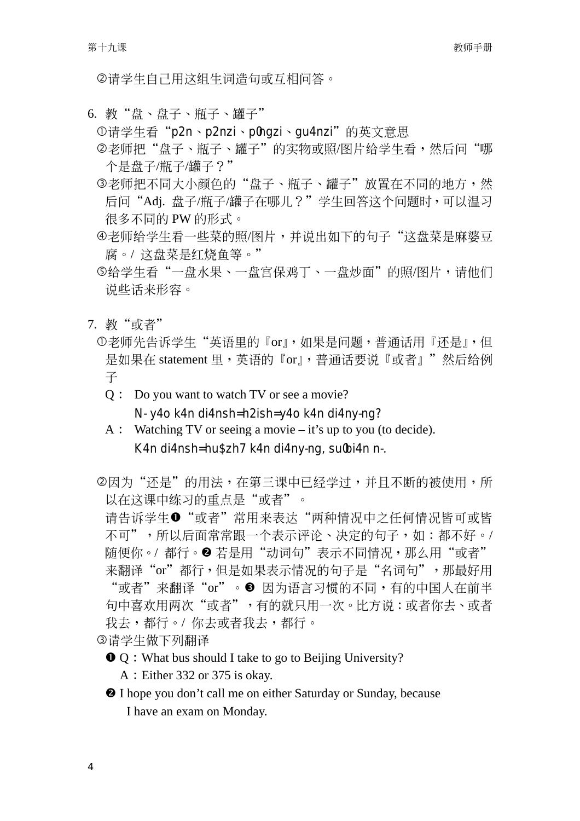②请学生自己用这组生词浩句或互相问答。

6. 教"盘、盘子、瓶子、罐子"

①请学生看"p2n、p2nzi、p0ngzi、qu4nzi"的英文意思

- ②老师把"盘子、瓶子、罐子"的实物或照/图片给学生看,然后问"哪 个是盘子/瓶子/罐子?"
- ③老师把不同大小颜色的"盘子、瓶子、罐子"放置在不同的地方,然 后问"Adj. 盘子/瓶子/罐子在哪儿?"学生回答这个问题时,可以温习 很多不同的 PW 的形式。
- 4老师给学生看一些菜的照/图片,并说出如下的句子"这盘菜是麻婆豆 腐。/ 这盘菜是红烧鱼等。"
- ⑤给学生看"一盘水果、一盘宫保鸡丁、一盘炒面"的照/图片,请他们 说些话来形容。
- 7. 教"或者"
	- ①老师先告诉学生"英语里的『or』,如果是问题,普通话用『还是』,但 是如果在 statement 里, 英语的 『or』, 普诵话要说 『或者』"然后给例 子
		- Q: Do you want to watch TV or see a movie?

N- y40 k4n di4nsh= h2ish= y40 k4n di4ny-ng?

- $A:$  Watching TV or seeing a movie it's up to you (to decide). K4n di4nsh=hu\$zh7 k4n di4ny-ng, sulbi4n n-.
- ②因为"还是"的用法,在第三课中已经学过,并且不断的被使用,所 以在这课中练习的重点是"或者"。

请告诉学生❶"或者"常用来表达"两种情况中之任何情况皆可或皆 不可", 所以后面常常跟一个表示评论、决定的句子, 如: 都不好。/ 随便你。/都行。2 若是用"动词句"表示不同情况,那么用"或者" 来翻译"or"都行,但是如果表示情况的句子是"名词句",那最好用 "或者" 来翻译 "or" 。❸ 因为语言习惯的不同,有的中国人在前半 句中喜欢用两次"或者",有的就只用一次。比方说:或者你去、或者 我去,都行。/ 你去或者我去,都行。

③请学生做下列翻译

**O** Q: What bus should I take to go to Beijing University?

A : Either 332 or 375 is okay.

<sup>2</sup> I hope you don't call me on either Saturday or Sunday, because I have an exam on Monday.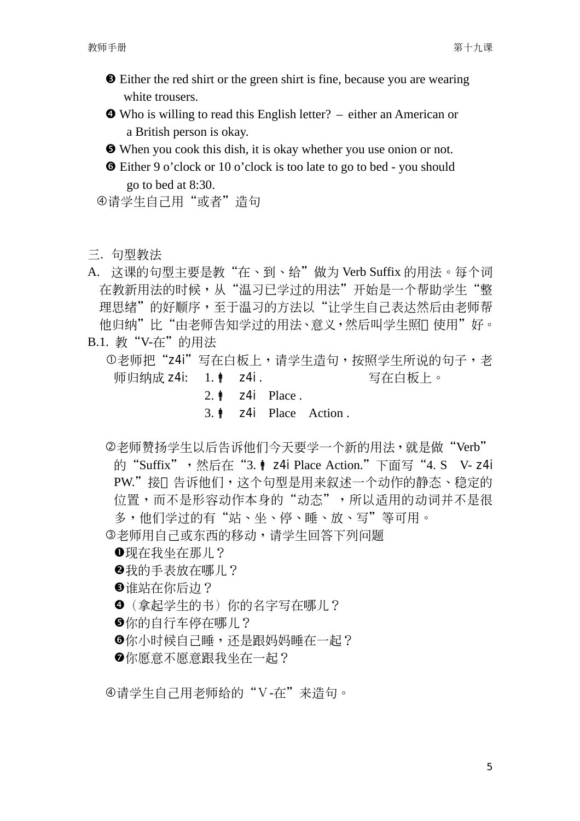- $\Theta$  Either the red shirt or the green shirt is fine, because you are wearing white trousers.
- $\bullet$  Who is willing to read this English letter? either an American or a British person is okay.
- **O** When you cook this dish, it is okay whether you use onion or not.
- s Either 9 o'clock or 10 o'clock is too late to go to bed you should go to bed at 8:30.

④请学生自己用"或者"浩句

- 三. 句型教法
- A. 这课的句型主要是教"在、到、给"做为 Verb Suffix 的用法。每个词 在教新用法的时候,从"温习已学过的用法"开始是一个帮助学生"整 理思绪"的好顺序,至于温习的方法以"让学生自己表达然后由老师帮 他归纳"比"由老师告知学讨的用法、意义,然后叫学生照 使用"好。 B.1. 教"V-在"的用法
	- ①老师把"z4i"写在白板上,请学生造句,按照学生所说的句子,老 师归纳成 z4i: 1. | z4i . □ 写在白板上。
		- 2.  $\uparrow$  z4i Place.
		- $3.\n\textcolor{blue}{\bullet}$  z4i Place Action.
	- ②老师赞扬学生以后告诉他们今天要学一个新的用法,就是做"Verb" 的"Suffix",然后在"3. | z4i Place Action."下面写"4. S V- z4i PW."接 告诉他们,这个句型是用来叙述一个动作的静态、稳定的 位置,而不是形容动作本身的"动态",所以适用的动词并不是很 多,他们学过的有"站、坐、停、睡、放、写"等可用。 3老师用自己或东西的移动,请学生回答下列问题
		- **●现在我坐在那儿?**
		- 2 我的手表放在哪儿?
		- **<sup>3</sup>**谁站在你后边?
		- <sup>⊙</sup>(拿起学生的书)你的名字写在哪儿?
		- 6你的自行车停在哪儿?
		- ⊙你小时候自己睡,还是跟妈妈睡在一起?
		- ⊙你愿意不愿意跟我坐在一起?

④请学生自己用老师给的"V-在"来造句。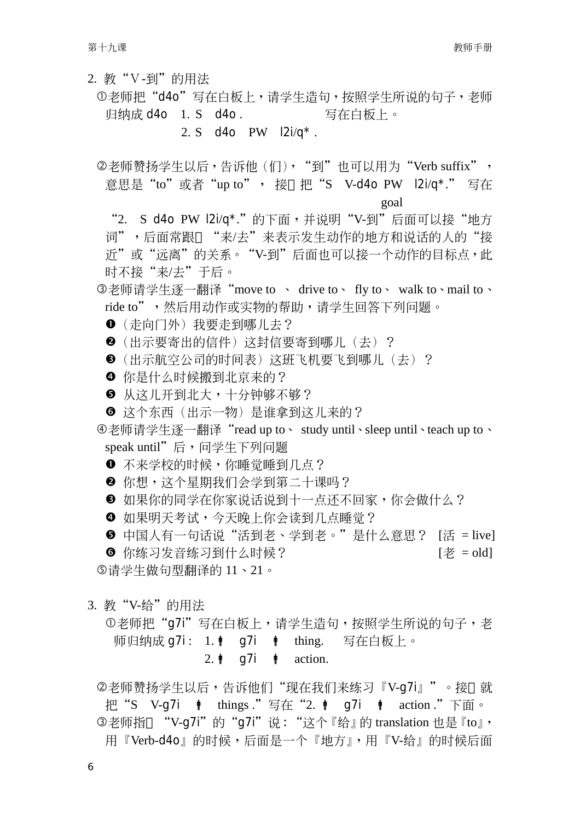- 2. 教"V-到"的用法
	- ①老师把"d4o"写在白板上,请学生造句,按照学生所说的句子,老师 归纳成 d4o 1. S d4o. 写在白板上。
		- 2. S d4o PW  $|2i/q^*$ .
	- ②老师赞扬学生以后,告诉他(们),"到"也可以用为"Verb suffix", 意思是"to"或者"up to", 接 把"S V-d4o PW l2i/q\*." 写在 goal
		- "2. S d4o PW I2i/q\*."的下面,并说明"V-到"后面可以接"地方 词",后面常跟 "来/去"来表示发生动作的地方和说话的人的"接 近"或"远离"的关系。"V-到"后面也可以接一个动作的目标点,此 时不接"来/去"干后。
	- 3老师请学生逐一翻译"move to 、 drive to、 fly to、 walk to、mail to、 ride to",然后用动作或实物的帮助,请学生回答下列问题。
		- ❶ (走向门外) 我要走到哪儿去?
		- <sup>2</sup> (出示要寄出的信件) 这封信要寄到哪儿 (去) ?
		- 图(出示航空公司的时间表)这研飞机要飞到哪儿(去)?
		- 4 你是什么时候搬到北京来的?
		- 6 从这儿开到北大,十分钟够不够?
		- ◎ 这个东西(出示一物)是谁拿到这儿来的?
	- ④老师请学生逐一翻译"read up to、 study until、sleep until、teach up to、 speak until"后, 问学生下列问题
		- ❶ 不来学校的时候, 你睡觉睡到几点?
		- 2 你想, 这个星期我们会学到第二十课吗?
		- <sup>6</sup> 如果你的同学在你家说话说到十一点还不回家,你会做什么?
		- ❹ 如果明天考试,今天晚上你会读到几点睡觉?
	- **6** 中国人有一句话说"活到老、学到老。"是什么意思? [活 = live] 6 你练习发音练习到什么时候?  $[$ 老 = old ⑤请学生做句型翻译的11、21。
- 3. 教"V-给"的用法
	- ①老师把"q7i"写在白板上,请学生造句,按照学生所说的句子,老 师归纳成 g7i: 1. | g7i | thing. 写在白板上。 2.  $\phi$  q7i  $\phi$  action.
	- ②老师赞扬学生以后,告诉他们"现在我们来练习『V-q7i』"。接 就 把"S V-g7i | things."写在"2. | g7i | action."下面。 3老师指 "V-g7i"的"g7i"说: "这个『给』的 translation 也是『to』, 用『Verb-d4o』的时候,后面是一个『地方』,用『V-给』的时候后面

6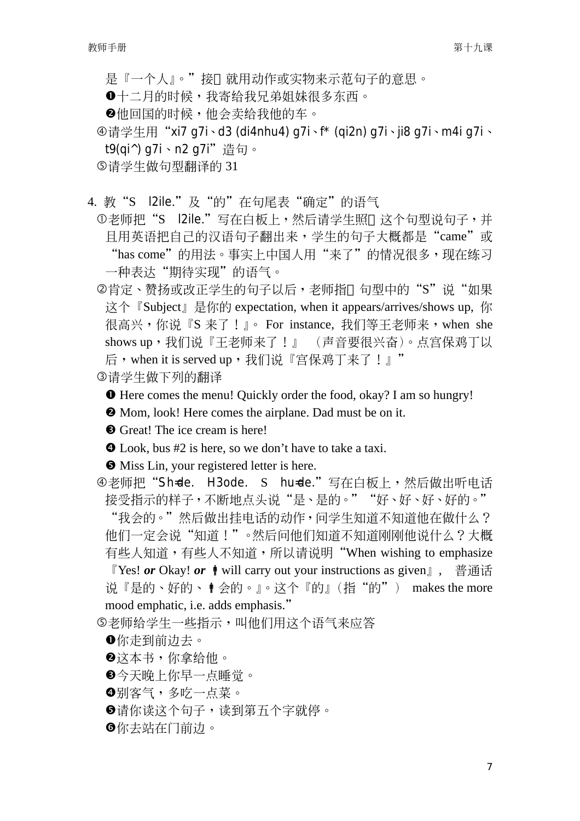是『一个人』。"接 就用动作或实物来示范句子的意思。

**0**十二月的时候,我寄给我兄弟姐妹很多东西。

2他回国的时候,他会卖给我他的车。

④请学生用"xi7 q7i、d3 (di4nhu4) q7i、f\* (qi2n) q7i、ji8 q7i、m4i q7i、 t<sup>9</sup> (gi^) g7i、n2 g7i" 造句。

⑤请学生做句型翻译的31

4. 教"S l2ile."及"的"在句尾表"确定"的语气

①老师把"S l2ile."写在白板上,然后请学生照 这个句型说句子,并 日用英语把自己的汉语句子翻出来, 学生的句子大概都是"came"或 "has come"的用法。事实上中国人用"来了"的情况很多,现在练习 一种表达"期待实现"的语气。

②肯定、赞扬或改正学生的句子以后,老师指 句型中的"S"说"如果 这个『Subject』是你的 expectation, when it appears/arrives/shows up, 你 很高兴,你说『S 来了!』。For instance, 我们等王老师来, when she shows up, 我们说『王老师来了!』 (声音要很兴奋)。点宫保鸡丁以 后, when it is served up, 我们说『宫保鸡丁来了!』"

3请学生做下列的翻译

**O** Here comes the menu! Quickly order the food, okay? I am so hungry!

 $\Theta$  Mom, look! Here comes the airplane. Dad must be on it.

**O** Great! The ice cream is here!

**O** Look, bus #2 is here, so we don't have to take a taxi.

**O** Miss Lin, your registered letter is here.

④老师把"Sh=de. H3ode. S hu=de."写在白板上,然后做出听电话 接受指示的样子,不断地点头说"是、是的。""好、好、好、好的。"

"我会的。"然后做出挂电话的动作,问学生知道不知道他在做什么? 他们一定会说"知道!"。然后问他们知道不知道刚刚他说什么?大概 有些人知道,有些人不知道,所以请说明"When wishing to emphasize

『Yes! or Okay! or  $\phi$  will carry out your instructions as given』, 普通话 说『是的、好的、●会的。』。这个『的』(指"的") makes the more mood emphatic, i.e. adds emphasis."

⑤老师给学生一些指示,叫他们用这个语气来应答

❶你走到前边去。

- 2这本书,你拿给他。
- ❸今天晚上你早一点睡觉。
- ❹别客气,多吃一点菜。
- **6请你读这个句子**,读到第五个字就停。

6你去站在门前边。